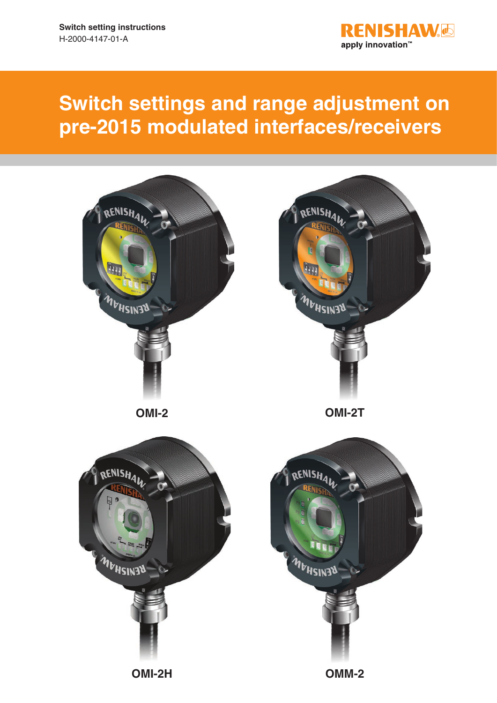

# **Switch settings and range adjustment on pre-2015 modulated interfaces/receivers**

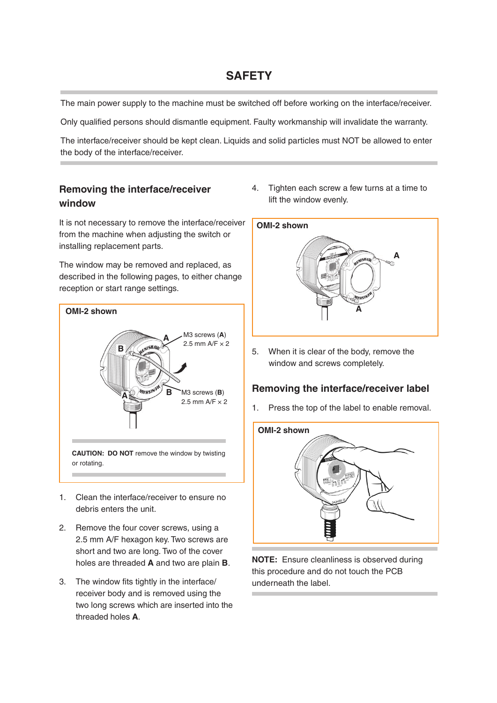### **SAFETY**

The main power supply to the machine must be switched off before working on the interface/receiver.

Only qualified persons should dismantle equipment. Faulty workmanship will invalidate the warranty.

The interface/receiver should be kept clean. Liquids and solid particles must NOT be allowed to enter the body of the interface/receiver.

### **Removing the interface/receiver window**

It is not necessary to remove the interface/receiver from the machine when adjusting the switch or installing replacement parts.

The window may be removed and replaced, as described in the following pages, to either change reception or start range settings.



- 1. Clean the interface/receiver to ensure no debris enters the unit.
- 2. Remove the four cover screws, using a 2.5 mm A/F hexagon key. Two screws are short and two are long. Two of the cover holes are threaded **A** and two are plain **B**.
- 3. The window fits tightly in the interface/ receiver body and is removed using the two long screws which are inserted into the threaded holes **A**.

4. Tighten each screw a few turns at a time to lift the window evenly.



5. When it is clear of the body, remove the window and screws completely.

### **Removing the interface/receiver label**

1. Press the top of the label to enable removal.



**NOTE:** Ensure cleanliness is observed during this procedure and do not touch the PCB underneath the label.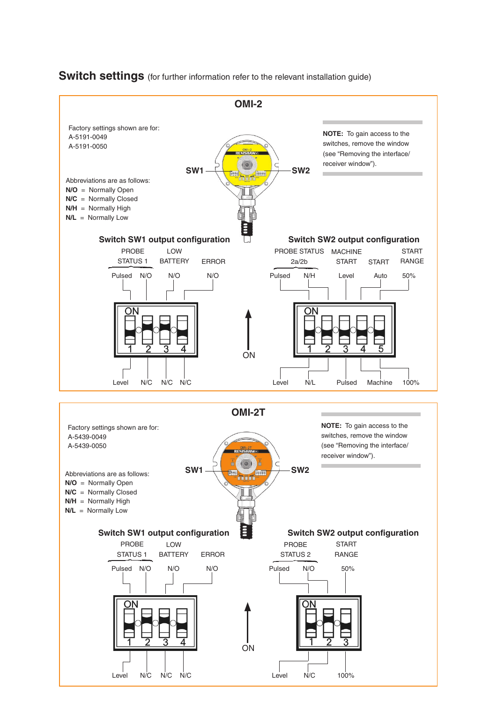

**Switch settings** (for further information refer to the relevant installation guide)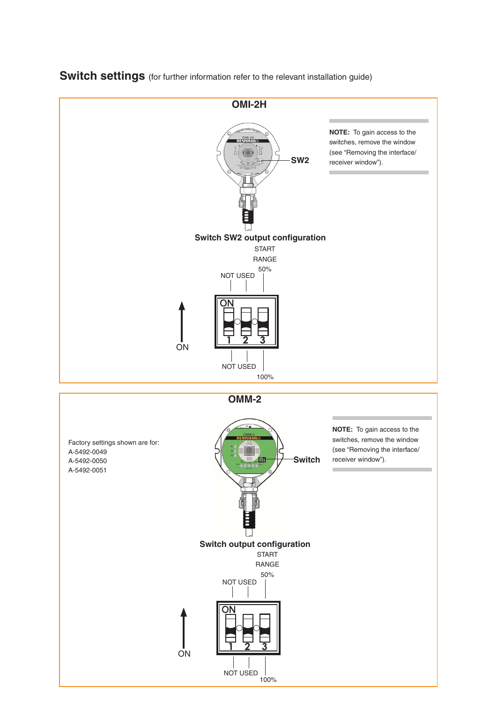

## **Switch settings** (for further information refer to the relevant installation guide)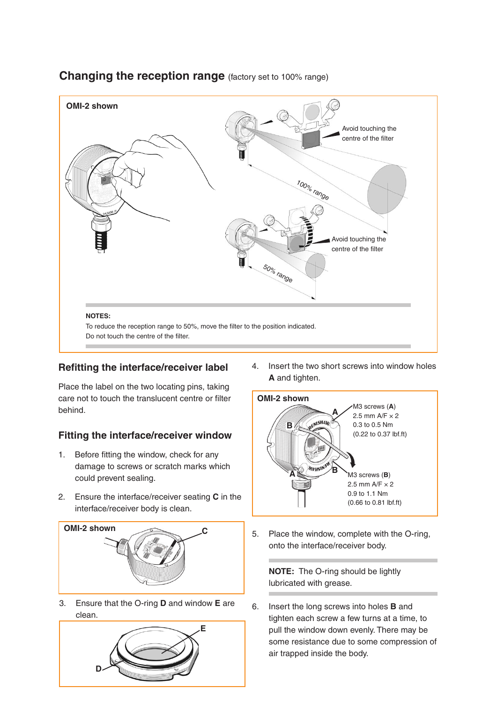

### **Changing the reception range** (factory set to 100% range)

#### **Refitting the interface/receiver label**

Place the label on the two locating pins, taking care not to touch the translucent centre or filter behind.

### **Fitting the interface/receiver window**

- 1. Before fitting the window, check for any damage to screws or scratch marks which could prevent sealing.
- 2. Ensure the interface/receiver seating **C** in the interface/receiver body is clean.



3. Ensure that the O-ring **D** and window **E** are clean.



4. Insert the two short screws into window holes **A** and tighten.



5. Place the window, complete with the O-ring, onto the interface/receiver body.

**NOTE:** The O-ring should be lightly lubricated with grease.

6. Insert the long screws into holes **B** and tighten each screw a few turns at a time, to pull the window down evenly. There may be some resistance due to some compression of air trapped inside the body.